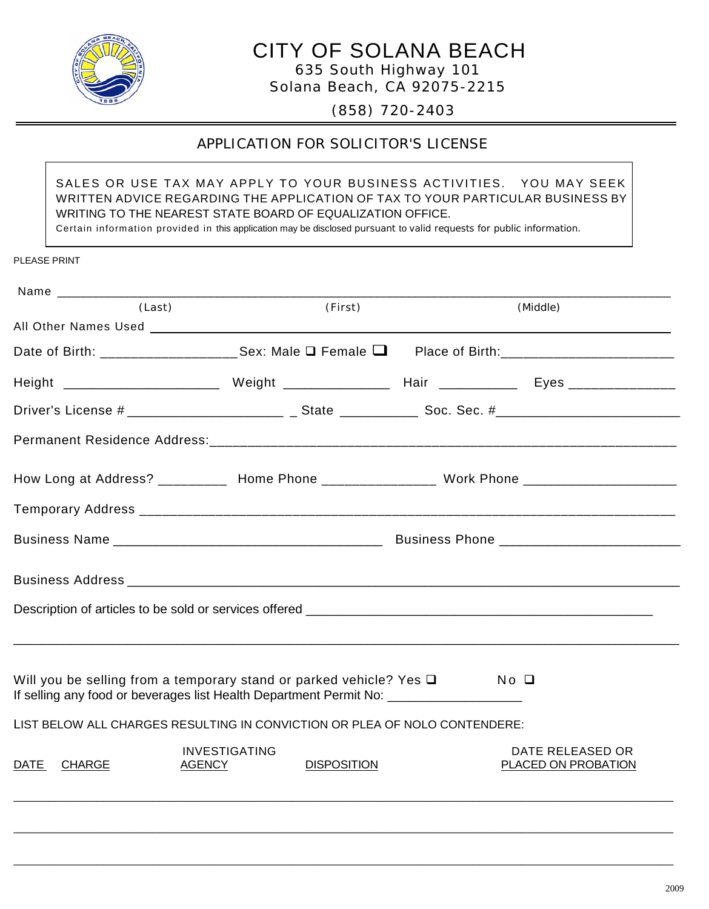

# CITY OF SOLANA BEACH

635 South Highway 101 Solana Beach, CA 92075-2215

(858) 720-2403

# APPLICATION FOR SOLICITOR'S LICENSE

SALES OR USE TAX MAY APPLY TO YOUR BUSINESS ACTIVITIES. YOU MAY SEEK WRITTEN ADVICE REGARDING THE APPLICATION OF TAX TO YOUR PARTICULAR BUSINESS BY WRITING TO THE NEAREST STATE BOARD OF EQUALIZATION OFFICE. Certain information provided in this application may be disclosed pursuant to valid requests for public information.

| <b>PLEASE PRINT</b> |  |
|---------------------|--|
|                     |  |

| Name ____________ |                                                                                                                                                               |                                            |
|-------------------|---------------------------------------------------------------------------------------------------------------------------------------------------------------|--------------------------------------------|
| (Last)            | (First)                                                                                                                                                       | (Middle)                                   |
|                   |                                                                                                                                                               |                                            |
|                   | Date of Birth: _____________________Sex: Male $\square$ Female $\square$                                                                                      | Place of Birth:___________________________ |
|                   |                                                                                                                                                               |                                            |
|                   |                                                                                                                                                               |                                            |
|                   |                                                                                                                                                               |                                            |
|                   | How Long at Address? __________ Home Phone _______________ Work Phone ______________________________                                                          |                                            |
|                   |                                                                                                                                                               |                                            |
|                   |                                                                                                                                                               |                                            |
|                   |                                                                                                                                                               |                                            |
|                   | Description of articles to be sold or services offered __________________________                                                                             |                                            |
|                   |                                                                                                                                                               |                                            |
|                   | Will you be selling from a temporary stand or parked vehicle? Yes $\Box$<br>If selling any food or beverages list Health Department Permit No: ______________ | $No$ $\square$                             |
|                   | LIST BELOW ALL CHARGES RESULTING IN CONVICTION OR PLEA OF NOLO CONTENDERE:                                                                                    |                                            |
| DATE CHARGE       | <b>INVESTIGATING</b><br><b>DISPOSITION</b><br><b>AGENCY</b>                                                                                                   | DATE RELEASED OR<br>PLACED ON PROBATION    |
|                   |                                                                                                                                                               |                                            |
|                   |                                                                                                                                                               |                                            |

\_\_\_\_\_\_\_\_\_\_\_\_\_\_\_\_\_\_\_\_\_\_\_\_\_\_\_\_\_\_\_\_\_\_\_\_\_\_\_\_\_\_\_\_\_\_\_\_\_\_\_\_\_\_\_\_\_\_\_\_\_\_\_\_\_\_\_\_\_\_\_\_\_\_\_\_\_\_\_\_\_\_\_\_\_\_\_\_\_\_\_\_\_\_\_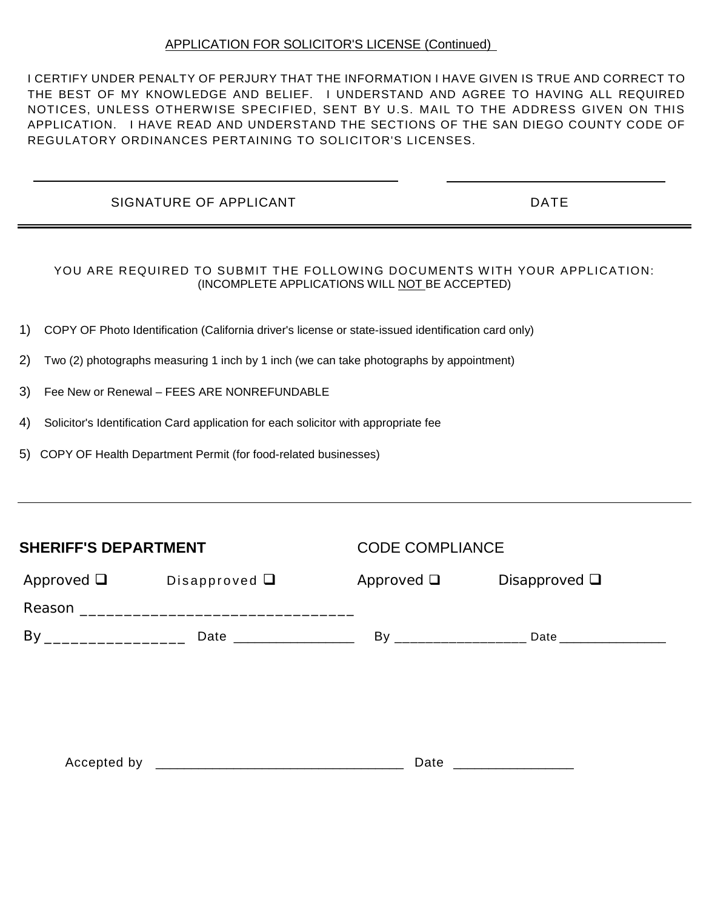## APPLICATION FOR SOLICITOR'S LICENSE (Continued)

I CERTIFY UNDER PENALTY OF PERJURY THAT THE INFORMATION I HAVE GIVEN IS TRUE AND CORRECT TO THE BEST OF MY KNOWLEDGE AND BELIEF. I UNDERSTAND AND AGREE TO HAVING ALL REQUIRED NOTICES, UNLESS OTHERWISE SPECIFIED, SENT BY U.S. MAIL TO THE ADDRESS GIVEN ON THIS APPLICATION. I HAVE READ AND UNDERSTAND THE SECTIONS OF THE SAN DIEGO COUNTY CODE OF REGULATORY ORDINANCES PERTAINING TO SOLICITOR'S LICENSES.

## SIGNATURE OF APPLICANT **EXECUTE A SIGNATURE OF APPLICANT**

#### YOU ARE REQUIRED TO SUBMIT THE FOLLOWING DOCUMENTS WITH YOUR APPLICATION: (INCOMPLETE APPLICATIONS WILL NOT BE ACCEPTED)

- 1) COPY OF Photo Identification (California driver's license or state-issued identification card only)
- 2) Two (2) photographs measuring 1 inch by 1 inch (we can take photographs by appointment)
- 3) Fee New or Renewal FEES ARE NONREFUNDABLE
- 4) Solicitor's Identification Card application for each solicitor with appropriate fee
- 5) COPY OF Health Department Permit (for food-related businesses)

| <b>SHERIFF'S DEPARTMENT</b>           |  | <b>CODE COMPLIANCE</b>   |                 |
|---------------------------------------|--|--------------------------|-----------------|
| Approved $\Box$<br>Disapproved $\Box$ |  | Disapproved $\square$    |                 |
|                                       |  |                          |                 |
|                                       |  |                          |                 |
|                                       |  |                          |                 |
|                                       |  |                          |                 |
|                                       |  |                          |                 |
|                                       |  |                          |                 |
|                                       |  | Date ___________________ | Approved $\Box$ |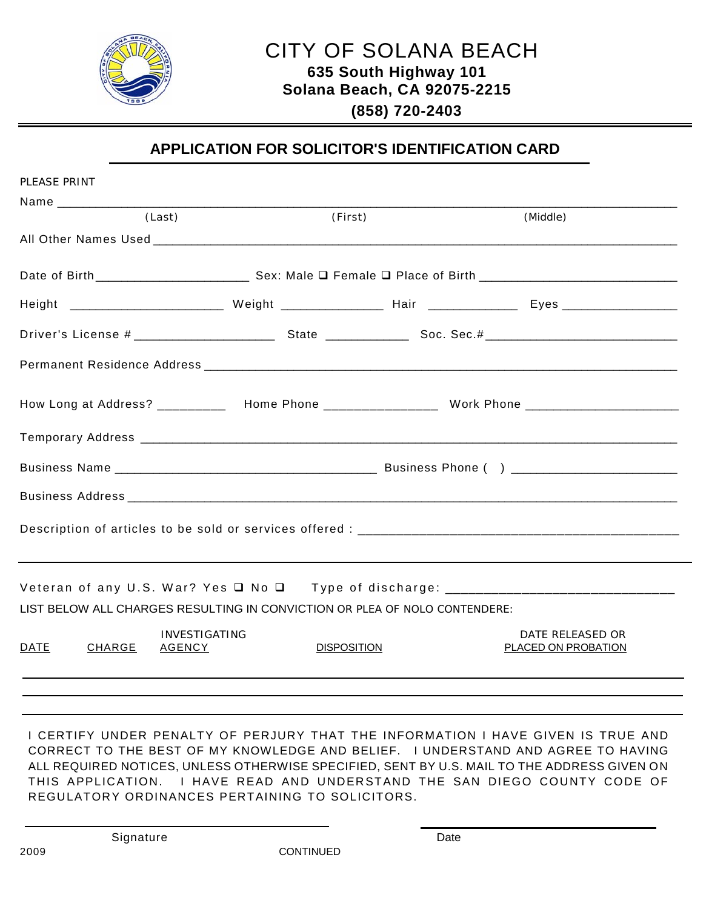

**(858) 720-2403**

## **APPLICATION FOR SOLICITOR'S IDENTIFICATION CARD**

| PLEASE PRINT                 |                                                                            |                    |                                                                                                     |
|------------------------------|----------------------------------------------------------------------------|--------------------|-----------------------------------------------------------------------------------------------------|
|                              |                                                                            |                    |                                                                                                     |
|                              | (Last)                                                                     | (First)            | (Middle)                                                                                            |
|                              |                                                                            |                    |                                                                                                     |
|                              |                                                                            |                    |                                                                                                     |
|                              |                                                                            |                    |                                                                                                     |
|                              |                                                                            |                    |                                                                                                     |
|                              |                                                                            |                    |                                                                                                     |
|                              |                                                                            |                    | How Long at Address? ___________ Home Phone ________________ Work Phone ___________________________ |
|                              |                                                                            |                    |                                                                                                     |
|                              |                                                                            |                    |                                                                                                     |
|                              |                                                                            |                    |                                                                                                     |
|                              |                                                                            |                    |                                                                                                     |
|                              |                                                                            |                    |                                                                                                     |
|                              | LIST BELOW ALL CHARGES RESULTING IN CONVICTION OR PLEA OF NOLO CONTENDERE: |                    |                                                                                                     |
| <b>DATE</b><br><b>CHARGE</b> | <b>INVESTIGATING</b><br><b>AGENCY</b>                                      | <b>DISPOSITION</b> | DATE RELEASED OR<br>PLACED ON PROBATION                                                             |
|                              |                                                                            |                    |                                                                                                     |
|                              |                                                                            |                    |                                                                                                     |
|                              |                                                                            |                    |                                                                                                     |

I CERTIFY UNDER PENALTY OF PERJURY THAT THE INFORMATION I HAVE GIVEN IS TRUE AND CORRECT TO THE BEST OF MY KNOWLEDGE AND BELIEF. I UNDERSTAND AND AGREE TO HAVING ALL REQUIRED NOTICES, UNLESS OTHERWISE SPECIFIED, SENT BY U.S. MAIL TO THE ADDRESS GIVEN ON THIS APPLICATION. I HAVE READ AND UNDERSTAND THE SAN DIEGO COUNTY CODE OF REGULATORY ORDINANCES PERTAINING TO SOLICITORS.

Signature Date